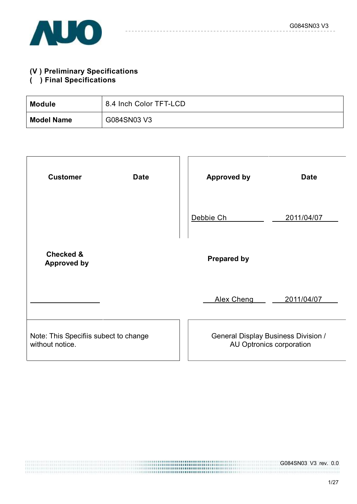

# **(V ) Preliminary Specifications**

### **( ) Final Specifications**

| <b>Module</b>     | 8.4 Inch Color TFT-LCD |
|-------------------|------------------------|
| <b>Model Name</b> | G084SN03 V3            |

| <b>Customer</b><br><b>Date</b>                           | <b>Approved by</b><br><b>Date</b>                                      |
|----------------------------------------------------------|------------------------------------------------------------------------|
|                                                          | Debbie Ch<br>2011/04/07                                                |
| <b>Checked &amp;</b><br><b>Approved by</b>               | <b>Prepared by</b>                                                     |
|                                                          | <b>Alex Cheng</b><br>2011/04/07                                        |
| Note: This Specifiis subect to change<br>without notice. | <b>General Display Business Division /</b><br>AU Optronics corporation |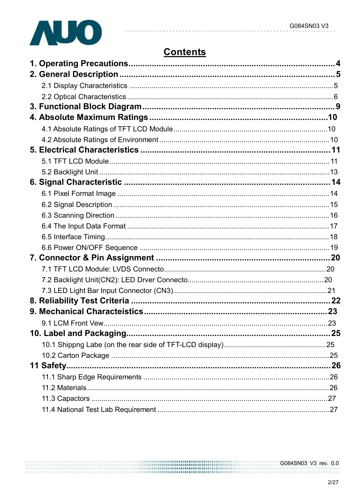

# **Contents**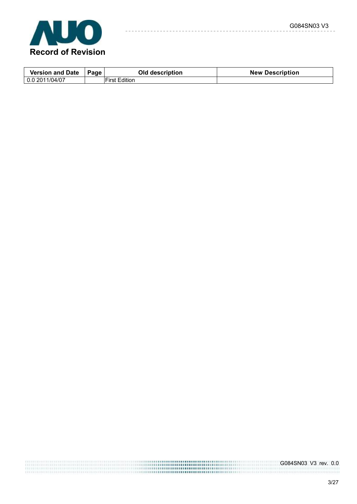

| <b>Version and Date</b> | Page | Old description      | <b>New Description</b> |
|-------------------------|------|----------------------|------------------------|
| 0.0 2011/04/07          |      | <b>First Edition</b> |                        |

 $- - -$ 

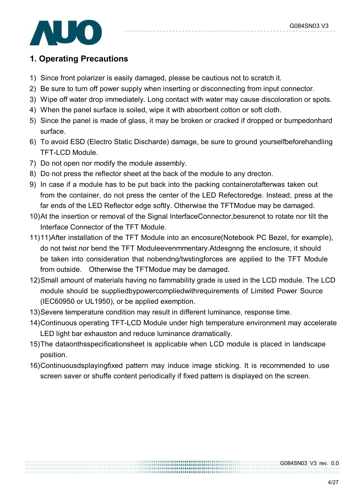

## **1. Operating Precautions**

- 1) Since front polarizer is easily damaged, please be cautious not to scratch it.
- 2) Be sure to turn off power supply when inserting or disconnecting from input connector.
- 3) Wipe off water drop immediately. Long contact with water may cause discoloration or spots.
- 4) When the panel surface is soiled, wipe it with absorbent cotton or soft cloth.
- 5) Since the panel is made of glass, it may be broken or cracked if dropped or bumpedonhard surface.
- 6) To avoid ESD (Electro Static Discharde) damage, be sure to ground yourselfbeforehandling TFT-LCD Module.
- 7) Do not open nor modify the module assembly.
- 8) Do not press the reflector sheet at the back of the module to any drecton.
- 9) In case if a module has to be put back into the packing containerotafterwas taken out from the container, do not press the center of the LED Refectoredge. Instead, press at the far ends of the LED Reflector edge softly. Otherwise the TFTModue may be damaged.
- 10)At the insertion or removal of the Signal InterfaceConnector,besurenot to rotate nor tilt the Interface Connector of the TFT Module.
- 11)11)After installation of the TFT Module into an encosure(Notebook PC Bezel, for example), do not twist nor bend the TFT Moduleevenmmentary.Atdesgnng the enclosure, it should be taken into consideration that nobendng/twstingforces are applied to the TFT Module from outside. Otherwise the TFTModue may be damaged.
- 12)Small amount of materials having no fammability grade is used in the LCD module. The LCD module should be suppliedbypowercompliedwithrequirements of Limited Power Source (IEC60950 or UL1950), or be applied exemption.
- 13)Severe temperature condition may result in different luminance, response time.
- 14)Continuous operating TFT-LCD Module under high temperature environment may accelerate LED light bar exhauston and reduce luminance dramatically.
- 15)The dataonthsspecificationsheet is applicable when LCD module is placed in landscape position.
- 16)Continuousdsplayingfixed pattern may induce image sticking. It is recommended to use screen saver or shuffe content periodically if fixed pattern is displayed on the screen.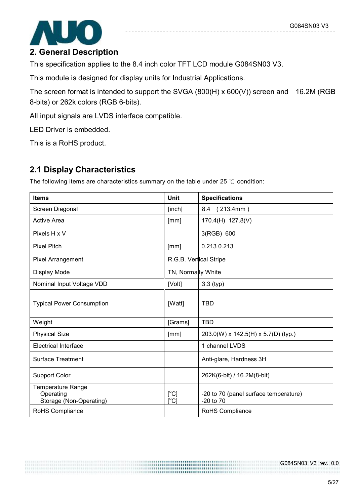

This specification applies to the 8.4 inch color TFT LCD module G084SN03 V3.

This module is designed for display units for Industrial Applications.

The screen format is intended to support the SVGA (800(H) x 600(V)) screen and 16.2M (RGB 8-bits) or 262k colors (RGB 6-bits).

All input signals are LVDS interface compatible.

LED Driver is embedded.

This is a RoHS product.

## **2.1 Display Characteristics**

The following items are characteristics summary on the table under 25 ℃ condition:

| <b>Items</b>                                                     | <b>Unit</b>                                              | <b>Specifications</b>                                  |
|------------------------------------------------------------------|----------------------------------------------------------|--------------------------------------------------------|
| Screen Diagonal                                                  | [inch]                                                   | 8.4 (213.4mm)                                          |
| <b>Active Area</b>                                               | [mm]                                                     | 170.4(H) 127.8(V)                                      |
| Pixels H x V                                                     |                                                          | 3(RGB) 600                                             |
| <b>Pixel Pitch</b>                                               | [mm]                                                     | 0.213 0.213                                            |
| <b>Pixel Arrangement</b>                                         | R.G.B. Vertical Stripe                                   |                                                        |
| Display Mode                                                     | TN, Normally White                                       |                                                        |
| Nominal Input Voltage VDD                                        | [Volt]                                                   | $3.3$ (typ)                                            |
| <b>Typical Power Consumption</b>                                 | [Watt]                                                   | <b>TBD</b>                                             |
| Weight                                                           | [Grams]                                                  | <b>TBD</b>                                             |
| <b>Physical Size</b>                                             | [mm]                                                     | 203.0(W) x 142.5(H) x 5.7(D) (typ.)                    |
| <b>Electrical Interface</b>                                      |                                                          | 1 channel LVDS                                         |
| <b>Surface Treatment</b>                                         |                                                          | Anti-glare, Hardness 3H                                |
| <b>Support Color</b>                                             |                                                          | 262K(6-bit) / 16.2M(8-bit)                             |
| <b>Temperature Range</b><br>Operating<br>Storage (Non-Operating) | $[^{\circ}C]$<br>$\mathsf{I}^\circ\mathsf{C} \mathsf{I}$ | -20 to 70 (panel surface temperature)<br>$-20$ to $70$ |
| RoHS Compliance                                                  |                                                          | RoHS Compliance                                        |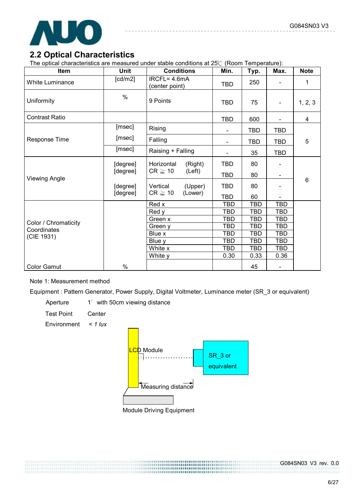

### **2.2 Optical Characteristics**

The optical characteristics are measured under stable conditions at 25℃ (Room Temperature):

| Item                   | Unit     | <b>Conditions</b>                 | Min.                         | Typ.       | Max.                         | <b>Note</b> |  |  |  |  |
|------------------------|----------|-----------------------------------|------------------------------|------------|------------------------------|-------------|--|--|--|--|
| <b>White Luminance</b> | [cd/m2]  | $IRCFL = 4.6mA$<br>(center point) | <b>TBD</b>                   | 250        |                              | 1           |  |  |  |  |
| Uniformity             | $\%$     | 9 Points                          | <b>TBD</b>                   | 75         |                              | 1, 2, 3     |  |  |  |  |
| <b>Contrast Ratio</b>  |          |                                   | <b>TBD</b>                   | 600        |                              | 4           |  |  |  |  |
|                        | [msec]   | Rising                            | $\qquad \qquad \blacksquare$ | <b>TBD</b> | <b>TBD</b>                   |             |  |  |  |  |
| Response Time          | [msec]   | Falling                           |                              | <b>TBD</b> | <b>TBD</b>                   | 5           |  |  |  |  |
|                        | [msec]   | Raising + Falling                 |                              | 35         | <b>TBD</b>                   |             |  |  |  |  |
|                        | [degree] | Horizontal<br>(Right)             | <b>TBD</b>                   | 80         |                              |             |  |  |  |  |
| <b>Viewing Angle</b>   | [degree] | $CR \geq 10$<br>(Left)            | <b>TBD</b>                   | 80         |                              |             |  |  |  |  |
|                        | [degree] | Vertical<br>(Upper)               | <b>TBD</b>                   | 80         |                              | 6           |  |  |  |  |
|                        | [degree] | $CR \geq 10$<br>(Lower)           | <b>TBD</b>                   | 60         |                              |             |  |  |  |  |
|                        |          | Red x                             | <b>TBD</b>                   | <b>TBD</b> | <b>TBD</b>                   |             |  |  |  |  |
|                        |          | Red y                             | <b>TBD</b>                   | <b>TBD</b> | TBD                          |             |  |  |  |  |
| Color / Chromaticity   |          | Green x                           | TBD                          | <b>TBD</b> | <b>TBD</b>                   |             |  |  |  |  |
| Coordinates            |          | Green y                           | TBD                          | <b>TBD</b> | <b>TBD</b>                   |             |  |  |  |  |
| (CIE 1931)             |          | Blue x                            | <b>TBD</b>                   | <b>TBD</b> | <b>TBD</b>                   |             |  |  |  |  |
|                        |          | Blue y                            | TBD                          | <b>TBD</b> | TBD                          |             |  |  |  |  |
|                        |          | White x                           | TBD                          | <b>TBD</b> | <b>TBD</b>                   |             |  |  |  |  |
|                        |          | White y                           | 0.30                         | 0.33       | 0.36                         |             |  |  |  |  |
| <b>Color Gamut</b>     | %        |                                   |                              | 45         | $\qquad \qquad \blacksquare$ |             |  |  |  |  |

#### Note 1: Measurement method

Equipment : Pattern Generator, Power Supply, Digital Voltmeter, Luminance meter (SR\_3 or equivalent)

Aperture 1° with 50cm viewing distance

Test Point Center

Environment *< 1 lux*

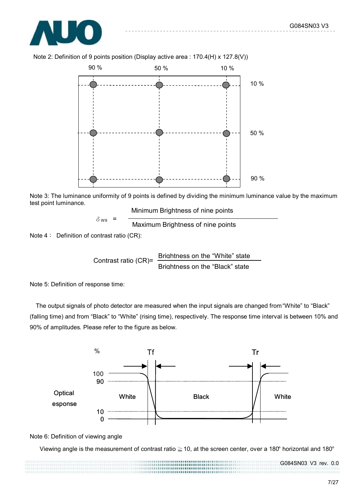



Note 2: Definition of 9 points position (Display active area : 170.4(H) x 127.8(V))

Note 3: The luminance uniformity of 9 points is defined by dividing the minimum luminance value by the maximum test point luminance.

Minimum Brightness of nine points

$$
\delta_{\text{W9}} = \frac{}{\text{Maximum brightness of nine points}}
$$

Note 4: Definition of contrast ratio (CR):

Contrast ratio (CR)= Brightness on the "White" state Brightness on the "Black" state

Note 5: Definition of response time:

The output signals of photo detector are measured when the input signals are changed from "White" to "Black" (falling time) and from "Black" to "White" (rising time), respectively. The response time interval is between 10% and 90% of amplitudes. Please refer to the figure as below.



Note 6: Definition of viewing angle

Viewing angle is the measurement of contrast ratio ≧10, at the screen center, over a 180° horizontal and 180°

7/27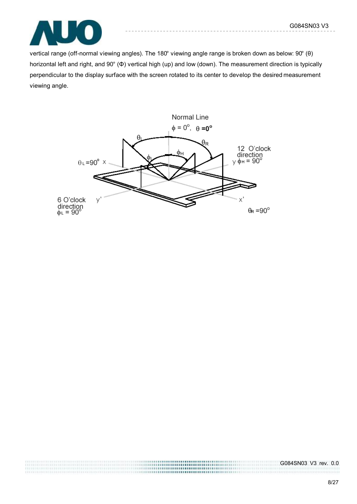

vertical range (off-normal viewing angles). The 180° viewing angle range is broken down as below: 90° (θ) horizontal left and right, and 90° (Φ) vertical high (up) and low (down). The measurement direction is typically perpendicular to the display surface with the screen rotated to its center to develop the desired measurement viewing angle.

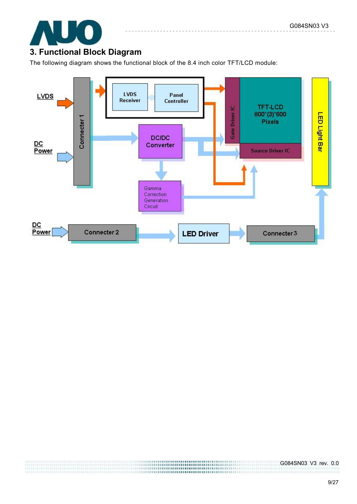

## **3. Functional Block Diagram**

The following diagram shows the functional block of the 8.4 inch color TFT/LCD module:



,,,,,,,,,,,,,,,,,,,,,,,,,,,, ............... ,,,,,,,,,,,,,,,,,,,,,,,,,,,,,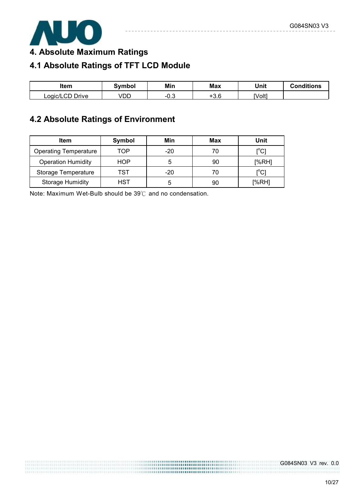

**4. Absolute Maximum Ratings** 

# **4.1 Absolute Ratings of TFT LCD Module**

| ltem                                | 3vmbol | Min  | <b>Max</b> | Unit   | <b>Conditions</b> |
|-------------------------------------|--------|------|------------|--------|-------------------|
| י Orive <sup>ה</sup> ∩<br>Logic/LCD | VDD    | −∪.ບ | $+3.6$     | [Volt] |                   |

# **4.2 Absolute Ratings of Environment**

| <b>Item</b>                  | Symbol | Min   | Max | Unit          |
|------------------------------|--------|-------|-----|---------------|
| <b>Operating Temperature</b> | TOP    | $-20$ | 70  | $\rm l^oC$ ]  |
| <b>Operation Humidity</b>    | HOP    |       | 90  | [%RH]         |
| Storage Temperature          | TST    | $-20$ | 70  | ${^{\circ}C}$ |
| <b>Storage Humidity</b>      | HST    | ۰.    | 90  | [%RH]         |

Note: Maximum Wet-Bulb should be 39℃ and no condensation.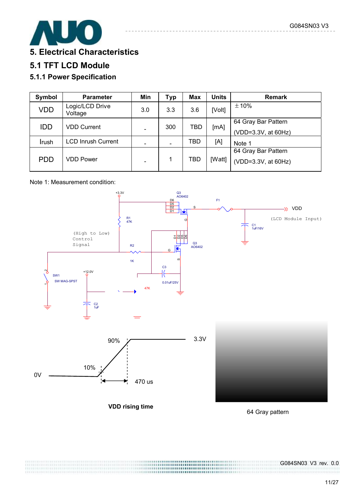

## **5. Electrical Characteristics**

## **5.1 TFT LCD Module**

### **5.1.1 Power Specification**

| Symbol     | <b>Parameter</b>           | Min | <b>Typ</b> | <b>Max</b> | <b>Units</b> | <b>Remark</b>       |
|------------|----------------------------|-----|------------|------------|--------------|---------------------|
| <b>VDD</b> | Logic/LCD Drive<br>Voltage | 3.0 | 3.3        | 3.6        | [Volt]       | ±10%                |
| <b>IDD</b> | <b>VDD Current</b>         |     | 300        | TBD        | [mA]         | 64 Gray Bar Pattern |
|            |                            |     |            |            |              | (VDD=3.3V, at 60Hz) |
| Irush      | <b>LCD Inrush Current</b>  |     |            | TBD        | [A]          | Note 1              |
|            |                            |     |            |            |              | 64 Gray Bar Pattern |
| <b>PDD</b> | <b>VDD Power</b>           |     |            | TBD        | [Watt]       | (VDD=3.3V, at 60Hz) |
|            |                            |     |            |            |              |                     |

#### Note 1: Measurement condition:



,,,,,,,,,,,,,,,,,,,,,,,,,

64 Gray pattern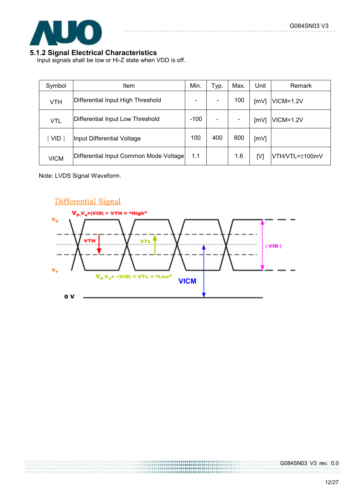

#### **5.1.2 Signal Electrical Characteristics**

Input signals shall be low or Hi-Z state when VDD is off.

| Symbol      | <b>Item</b>                            | Min.                     | Typ. | Max.                     | Unit | Remark         |
|-------------|----------------------------------------|--------------------------|------|--------------------------|------|----------------|
| <b>VTH</b>  | Differential Input High Threshold      | $\overline{\phantom{a}}$ |      | 100                      | [mV] | $VICM = 1.2V$  |
| VTL         | Differential Input Low Threshold       | $-100$                   |      | $\overline{\phantom{a}}$ | [mV] | $VICM = 1.2V$  |
| <b>VID</b>  | Input Differential Voltage             | 100                      | 400  | 600                      | [mV] |                |
| <b>VICM</b> | Differential Input Common Mode Voltage | 1.1                      |      | 1.6                      | [V]  | VTH/VTL=±100mV |

Note: LVDS Signal Waveform.



...............................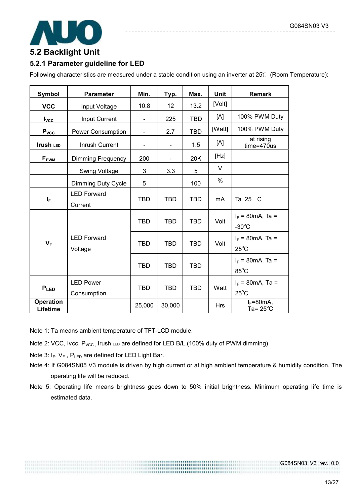

# **5.2 Backlight Unit**

#### **5.2.1 Parameter guideline for LED**

Following characteristics are measured under a stable condition using an inverter at 25℃ (Room Temperature):

| <b>Symbol</b>                | <b>Parameter</b>                | Min.                         | Typ.                     | Max.       | <b>Unit</b> | <b>Remark</b>                                  |
|------------------------------|---------------------------------|------------------------------|--------------------------|------------|-------------|------------------------------------------------|
| <b>VCC</b>                   | Input Voltage                   | 10.8                         | 12                       | 13.2       | [Volt]      |                                                |
| $I_{\text{VCC}}$             | Input Current                   |                              | 225                      | <b>TBD</b> | [A]         | 100% PWM Duty                                  |
| P <sub>vcc</sub>             | Power Consumption               | $\qquad \qquad \blacksquare$ | 2.7                      | <b>TBD</b> | [Watt]      | 100% PWM Duty                                  |
| <b>Irush LED</b>             | Inrush Current                  |                              | $\overline{\phantom{a}}$ | 1.5        | [A]         | at rising<br>time=470us                        |
| F <sub>PWM</sub>             | <b>Dimming Frequency</b>        | 200                          |                          | 20K        | [Hz]        |                                                |
|                              | <b>Swing Voltage</b>            | 3                            | 3.3                      | 5          | $\vee$      |                                                |
|                              | Dimming Duty Cycle              | 5                            |                          | 100        | %           |                                                |
| $I_F$                        | <b>LED Forward</b><br>Current   | <b>TBD</b>                   | <b>TBD</b>               | <b>TBD</b> | mA          | Ta 25 C                                        |
|                              |                                 | <b>TBD</b>                   | <b>TBD</b>               | <b>TBD</b> | Volt        | $I_F = 80 \text{mA}$ , Ta =<br>$-30^{\circ}$ C |
| $V_F$                        | <b>LED Forward</b><br>Voltage   | <b>TBD</b>                   | <b>TBD</b>               | <b>TBD</b> | Volt        | $I_F = 80 \text{mA}$ , Ta =<br>$25^{\circ}$ C  |
|                              |                                 | <b>TBD</b>                   | <b>TBD</b>               | <b>TBD</b> |             | $I_F = 80 \text{mA}$ , Ta =<br>$85^{\circ}$ C  |
| $P_{LED}$                    | <b>LED Power</b><br>Consumption | <b>TBD</b>                   | <b>TBD</b>               | <b>TBD</b> | Watt        | $I_F = 80 \text{mA}$ , Ta =<br>$25^{\circ}$ C  |
| <b>Operation</b><br>Lifetime |                                 | 25,000                       | 30,000                   |            | <b>Hrs</b>  | $I_F = 80 \text{mA}$<br>Ta= $25^{\circ}$ C     |

Note 1: Ta means ambient temperature of TFT-LCD module.

- Note 2: VCC, Ivcc,  $P_{VCC}$ , Irush LED are defined for LED B/L.(100% duty of PWM dimming)
- Note 3:  $I_F$ ,  $V_F$ ,  $P_{LED}$  are defined for LED Light Bar.
- Note 4: If G084SN05 V3 module is driven by high current or at high ambient temperature & humidity condition. The operating life will be reduced.
- Note 5: Operating life means brightness goes down to 50% initial brightness. Minimum operating life time is estimated data.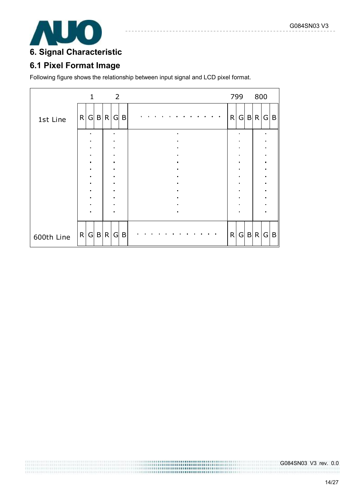

# **6. Signal Characteristic**

# **6.1 Pixel Format Image**

Following figure shows the relationship between input signal and LCD pixel format.

|            |   | $\mathbf{1}$   |              |              | $\overline{2}$ |   |  |  |  |  |  |  |  |  |  |  |  |                | 799 |   | 800            |                |   |
|------------|---|----------------|--------------|--------------|----------------|---|--|--|--|--|--|--|--|--|--|--|--|----------------|-----|---|----------------|----------------|---|
| 1st Line   | R |                |              | G B R        | G              | B |  |  |  |  |  |  |  |  |  |  |  | R              | G   |   | B R            | G              | B |
|            |   |                |              |              |                |   |  |  |  |  |  |  |  |  |  |  |  |                |     |   |                | ×              |   |
|            |   |                |              |              |                |   |  |  |  |  |  |  |  |  |  |  |  |                |     |   |                |                |   |
|            |   |                |              |              |                |   |  |  |  |  |  |  |  |  |  |  |  |                |     |   | ٠              |                |   |
|            |   | $\blacksquare$ |              |              | $\blacksquare$ |   |  |  |  |  |  |  |  |  |  |  |  | $\blacksquare$ |     |   | $\blacksquare$ |                |   |
|            |   |                |              |              |                |   |  |  |  |  |  |  |  |  |  |  |  |                |     |   |                |                |   |
|            |   |                |              |              |                |   |  |  |  |  |  |  |  |  |  |  |  |                |     |   |                | $\blacksquare$ |   |
|            |   |                |              |              |                |   |  |  |  |  |  |  |  |  |  |  |  |                |     |   |                | ×              |   |
|            |   |                |              |              |                |   |  |  |  |  |  |  |  |  |  |  |  | ٠              |     |   |                |                |   |
|            |   |                |              |              |                |   |  |  |  |  |  |  |  |  |  |  |  |                |     |   |                |                |   |
|            |   |                |              |              |                |   |  |  |  |  |  |  |  |  |  |  |  |                |     |   |                |                |   |
|            |   |                |              |              |                |   |  |  |  |  |  |  |  |  |  |  |  |                |     |   |                |                |   |
|            |   |                |              |              |                |   |  |  |  |  |  |  |  |  |  |  |  |                |     |   |                |                |   |
| 600th Line | R | G              | $\mathsf{B}$ | $\mathsf{R}$ | G              | B |  |  |  |  |  |  |  |  |  |  |  | R              | G   | B | $\mathsf{R}$   | G              | B |

,,,,,,,,,,,,,,,,,,,,,,,,,,,, ,,,,,,,,,,,,,,,,,,,,,,,,,,,,,,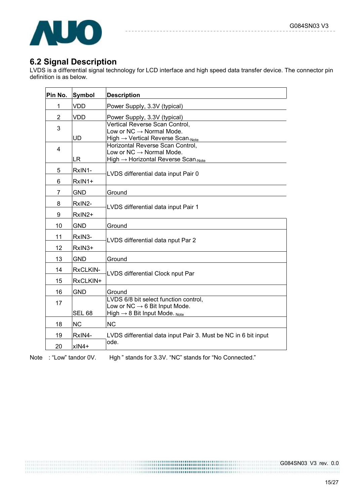

### **6.2 Signal Description**

LVDS is a differential signal technology for LCD interface and high speed data transfer device. The connector pin definition is as below.

| Pin No.        | Symbol           | <b>Description</b>                                                                                                              |
|----------------|------------------|---------------------------------------------------------------------------------------------------------------------------------|
| 1              | <b>VDD</b>       | Power Supply, 3.3V (typical)                                                                                                    |
| $\overline{2}$ | <b>VDD</b>       | Power Supply, 3.3V (typical)                                                                                                    |
| 3              | <b>UD</b>        | Vertical Reverse Scan Control,<br>Low or $NC \rightarrow Normal$ Mode.<br>High $\rightarrow$ Vertical Reverse Scan. Note        |
| 4              | <b>LR</b>        | Horizontal Reverse Scan Control,<br>Low or $NC \rightarrow Normal$ Mode.<br>High $\rightarrow$ Horizontal Reverse Scan. Note    |
| 5<br>6         | RxIN1-<br>RxIN1+ | LVDS differential data input Pair 0                                                                                             |
| 7              | <b>GND</b>       | Ground                                                                                                                          |
| 8<br>9         | RxIN2-<br>RxIN2+ | LVDS differential data input Pair 1                                                                                             |
| 10             | <b>GND</b>       | Ground                                                                                                                          |
| 11<br>12       | RxIN3-<br>RxIN3+ | LVDS differential data nput Par 2                                                                                               |
| 13             | <b>GND</b>       | Ground                                                                                                                          |
| 14             | RxCLKIN-         | LVDS differential Clock nput Par                                                                                                |
| 15             | RxCLKIN+         |                                                                                                                                 |
| 16             | <b>GND</b>       | Ground                                                                                                                          |
| 17             | <b>SEL 68</b>    | LVDS 6/8 bit select function control,<br>Low or NC $\rightarrow$ 6 Bit Input Mode.<br>High $\rightarrow$ 8 Bit Input Mode. Note |
| 18             | <b>NC</b>        | <b>NC</b>                                                                                                                       |
| 19             | RxIN4-           | LVDS differential data input Pair 3. Must be NC in 6 bit input                                                                  |
| 20             | xIN4+            | ode.                                                                                                                            |

Note : "Low" tandor 0V. Hgh " stands for 3.3V. "NC" stands for "No Connected."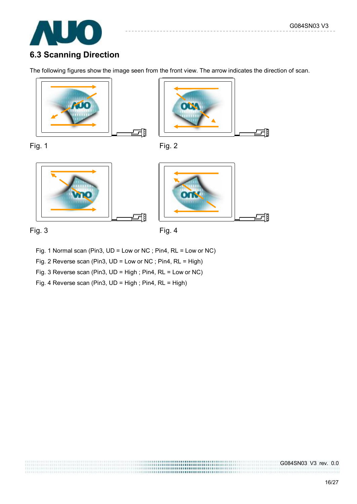

# **6.3 Scanning Direction**

The following figures show the image seen from the front view. The arrow indicates the direction of scan.













- Fig. 1 Normal scan (Pin3, UD = Low or NC ; Pin4, RL = Low or NC)
- Fig. 2 Reverse scan (Pin3, UD = Low or NC ; Pin4, RL = High)
- Fig. 3 Reverse scan (Pin3, UD = High ; Pin4, RL = Low or NC)
- Fig. 4 Reverse scan (Pin3, UD = High ; Pin4, RL = High)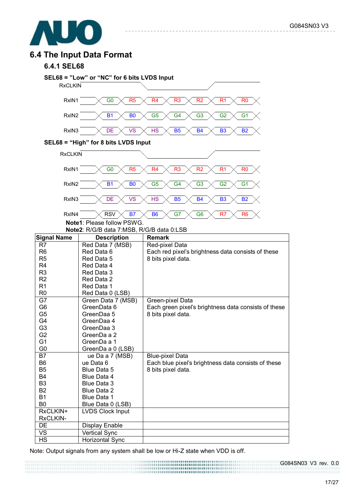

### **6.4 The Input Data Format**

#### **6.4.1 SEL68**



Note: Output signals from any system shall be low or Hi-Z state when VDD is off.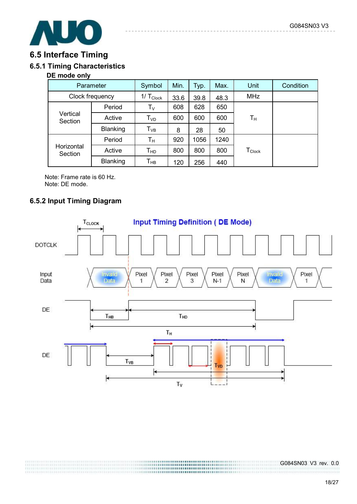

### **6.5 Interface Timing**

### **6.5.1 Timing Characteristics**

#### **DE mode only**

| Parameter             |                 | Symbol                     | Min. | Typ. | Max. | Unit                           | Condition |
|-----------------------|-----------------|----------------------------|------|------|------|--------------------------------|-----------|
| Clock frequency       |                 | $1/T_{Clock}$              | 33.6 | 39.8 | 48.3 | <b>MHz</b>                     |           |
|                       | Period          | $\mathsf{T}_{\mathsf{V}}$  | 608  | 628  | 650  |                                |           |
| Vertical<br>Section   | Active          | $\mathsf{T}_{\mathsf{VD}}$ | 600  | 600  | 600  | Tн                             |           |
|                       | Blanking        | $\mathsf{T}_{\mathsf{VB}}$ | 8    | 28   | 50   |                                |           |
|                       | Period          | $T_{\rm H}$                | 920  | 1056 | 1240 |                                |           |
| Horizontal<br>Section | Active          | $T_{HD}$                   | 800  | 800  | 800  | ${\mathsf T}_{\mathsf{Clock}}$ |           |
|                       | <b>Blanking</b> | Т <sub>нв</sub>            | 120  | 256  | 440  |                                |           |

Note: Frame rate is 60 Hz. Note: DE mode.

#### **6.5.2 Input Timing Diagram**

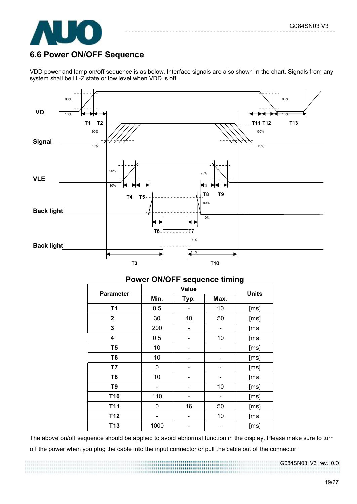

### **6.6 Power ON/OFF Sequence**

VDD power and lamp on/off sequence is as below. Interface signals are also shown in the chart. Signals from any system shall be Hi-Z state or low level when VDD is off.



|                  |      |       |              | $\tilde{\phantom{a}}$ |
|------------------|------|-------|--------------|-----------------------|
| <b>Parameter</b> |      | Value | <b>Units</b> |                       |
|                  | Min. | Typ.  | Max.         |                       |
| T <sub>1</sub>   | 0.5  |       | 10           | [ms]                  |
| $\mathbf 2$      | 30   | 40    | 50           | [ms]                  |
| 3                | 200  |       |              | [ms]                  |
| 4                | 0.5  |       | 10           | [ms]                  |
| T <sub>5</sub>   | 10   |       |              | [ms]                  |
| T <sub>6</sub>   | 10   |       |              | [ms]                  |
| T7               | 0    |       |              | [ms]                  |
| T <sub>8</sub>   | 10   |       |              | [ms]                  |
| T <sub>9</sub>   |      |       | 10           | [ms]                  |
| T <sub>10</sub>  | 110  |       |              | [ms]                  |
| T <sub>11</sub>  | 0    | 16    | 50           | [ms]                  |
| T <sub>12</sub>  |      |       | 10           | [ms]                  |
| T <sub>13</sub>  | 1000 |       |              | [ms]                  |

#### **Power ON/OFF sequence timing**

The above on/off sequence should be applied to avoid abnormal function in the display. Please make sure to turn off the power when you plug the cable into the input connector or pull the cable out of the connector.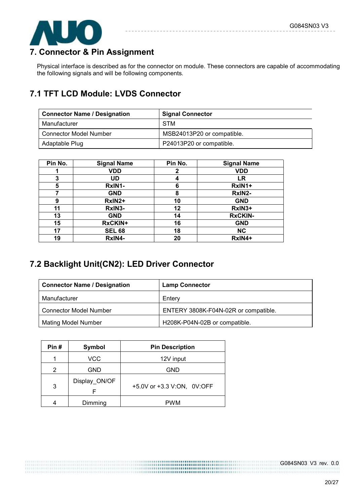

## **7. Connector & Pin Assignment**

Physical interface is described as for the connector on module. These connectors are capable of accommodating the following signals and will be following components.

# **7.1 TFT LCD Module: LVDS Connector**

| <b>Connector Name / Designation</b> | <b>Signal Connector</b>    |
|-------------------------------------|----------------------------|
| Manufacturer                        | <b>STM</b>                 |
| <b>Connector Model Number</b>       | MSB24013P20 or compatible. |
| Adaptable Plug                      | P24013P20 or compatible.   |

| Pin No. | <b>Signal Name</b> | Pin No. | <b>Signal Name</b> |
|---------|--------------------|---------|--------------------|
|         | VDD                | 2       | <b>VDD</b>         |
| 3       | UD                 | 4       | LR                 |
| 5       | RxIN1-             | 6       | RxIN1+             |
|         | <b>GND</b>         | 8       | RxIN2-             |
| 9       | RxIN2+             | 10      | <b>GND</b>         |
| 11      | RxIN3-             | 12      | RxIN3+             |
| 13      | <b>GND</b>         | 14      | <b>RxCKIN-</b>     |
| 15      | <b>RxCKIN+</b>     | 16      | <b>GND</b>         |
| 17      | <b>SEL 68</b>      | 18      | <b>NC</b>          |
| 19      | RxIN4-             | 20      | RxIN4+             |

# **7.2 Backlight Unit(CN2): LED Driver Connector**

| <b>Connector Name / Designation</b> | <b>Lamp Connector</b>                |
|-------------------------------------|--------------------------------------|
| Manufacturer                        | Enterv                               |
| <b>Connector Model Number</b>       | ENTERY 3808K-F04N-02R or compatible. |
| <b>Mating Model Number</b>          | H208K-P04N-02B or compatible.        |

............................ 

| Pin#<br>Symbol |                    | <b>Pin Description</b>     |
|----------------|--------------------|----------------------------|
|                | VCC                | 12V input                  |
| 2              | <b>GND</b>         | <b>GND</b>                 |
| 3              | Display_ON/OF<br>F | +5.0V or +3.3 V:ON, 0V:OFF |
|                | Dimming            | PWM                        |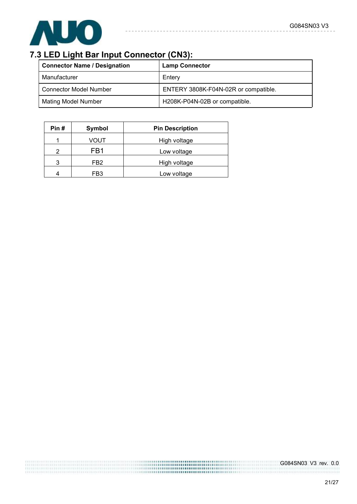

# **7.3 LED Light Bar Input Connector (CN3):**

| <b>Connector Name / Designation</b> | <b>Lamp Connector</b>                |
|-------------------------------------|--------------------------------------|
| Manufacturer                        | Enterv                               |
| <b>Connector Model Number</b>       | ENTERY 3808K-F04N-02R or compatible. |
| <b>Mating Model Number</b>          | H208K-P04N-02B or compatible.        |

 $- - - - - -$ 

 $- - - - -$ 

| Pin# | Symbol          | <b>Pin Description</b> |
|------|-----------------|------------------------|
|      | VOUT            | High voltage           |
| າ    | FB1             | Low voltage            |
| 3    | FB <sub>2</sub> | High voltage           |
|      | FB3             | Low voltage            |

21/27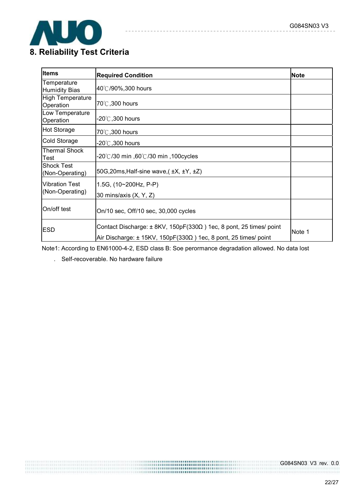

| <b>Items</b>                             | <b>Required Condition</b>                                                                                                                          | <b>Note</b> |
|------------------------------------------|----------------------------------------------------------------------------------------------------------------------------------------------------|-------------|
| Temperature<br><b>Humidity Bias</b>      | 40℃/90%,300 hours                                                                                                                                  |             |
| <b>High Temperature</b><br>Operation     | 70°C, 300 hours                                                                                                                                    |             |
| Low Temperature<br>Operation             | -20 $\degree$ C,300 hours                                                                                                                          |             |
| <b>Hot Storage</b>                       | 70°C, 300 hours                                                                                                                                    |             |
| Cold Storage                             | -20 $^\circ\!$ ,300 hours                                                                                                                          |             |
| <b>Thermal Shock</b><br>Test             | .20℃/30 min ,60℃/30 min ,100cycles                                                                                                                 |             |
| <b>Shock Test</b><br>(Non-Operating)     | 50G, 20ms, Half-sine wave, (±X, ±Y, ±Z)                                                                                                            |             |
| <b>Vibration Test</b><br>(Non-Operating) | 1.5G, $(10~200Hz, P-P)$<br>30 mins/axis (X, Y, Z)                                                                                                  |             |
| On/off test                              | On/10 sec, Off/10 sec, 30,000 cycles                                                                                                               |             |
| <b>ESD</b>                               | Contact Discharge: $\pm$ 8KV, 150pF(330 $\Omega$ ) 1ec, 8 pont, 25 times/ point<br>Air Discharge: ± 15KV, 150pF(330Ω) 1ec, 8 pont, 25 times/ point | Note 1      |

 $- - -$ 

Note1: According to EN61000-4-2, ESD class B: Soe perormance degradation allowed. No data lost

. Self-recoverable. No hardware failure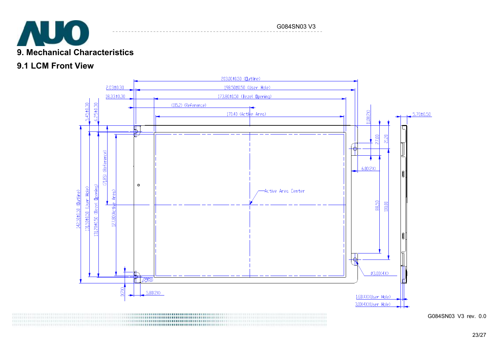

#### G084SN03 V3

### **9.1 LCM Front View**



23/27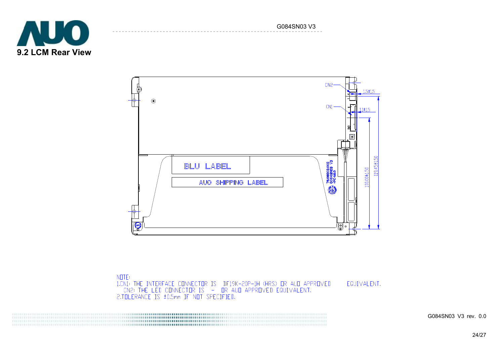G084SN03 V3





**NOTE:** 1.CN1: THE INTERFACE CONNECTOR IS DF19K-20P-1H (HRS) OR AUD APPROVED<br>CN2: THE LED CONNECTOR IS - OR AUD APPROVED EQUIVALENT.<br>2.TOLERANCE IS ±0.5mm IF NOT SPECIFIED.

 EQUIVALENT.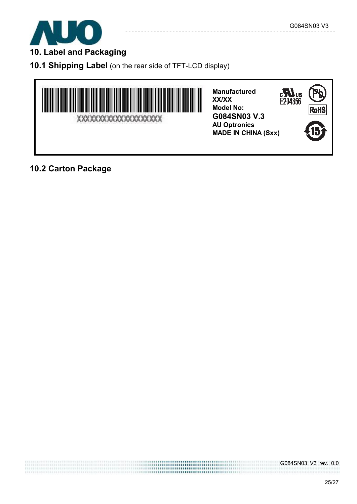

**10. Label and Packaging** 

**10.1 Shipping Label** (on the rear side of TFT-LCD display)



**Manufactured XX/XX Model No: G084SN03 V.3 AU Optronics MADE IN CHINA (Sxx)** 



# **10.2 Carton Package**

,,,,,,,,,,,,,,,,,,,,,,,,,,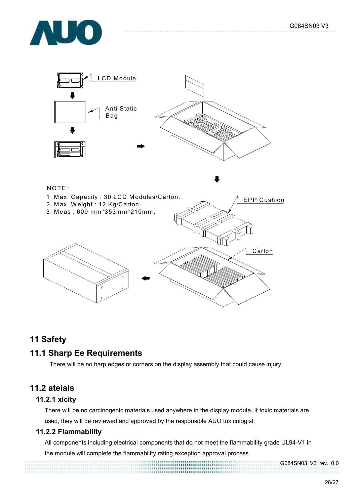



#### NOTE :

- 1. Max. Capacity: 30 LCD Modules/Carton. 2. Max. Weight: 12 Kg/Carton.
- 3. M eas : 600 m m \*353m m \*210m m .



### **11 Safety**

### **11.1 Sharp Ee Requirements**

There will be no harp edges or corners on the display assembly that could cause injury.

### **11.2 ateials**

#### **11.2.1 xicity**

There will be no carcinogenic materials used anywhere in the display module. If toxic materials are used, they will be reviewed and approved by the responsible AUO toxicologist.

#### **11.2.2 Flammability**

All components including electrical components that do not meet the flammability grade UL94-V1 in the module will complete the flammability rating exception approval process.

G084SN03 V3 rev. 0.0

EPP Cushion